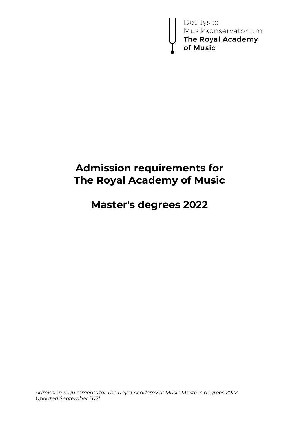Det Jyske<br>Musikkonservatorium<br>**The Royal Academy**<br>**of Music** 

# **Admission requirements for The Royal Academy of Music**

# **Master's degrees 2022**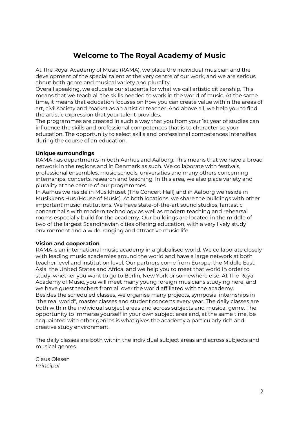# **Welcome to The Royal Academy of Music**

At The Royal Academy of Music (RAMA), we place the individual musician and the development of the special talent at the very centre of our work, and we are serious about both genre and musical variety and plurality.

Overall speaking, we educate our students for what we call artistic citizenship. This means that we teach all the skills needed to work in the world of music. At the same time, it means that education focuses on how you can create value within the areas of art, civil society and market as an artist or teacher. And above all, we help you to find the artistic expression that your talent provides.

The programmes are created in such a way that you from your 1st year of studies can influence the skills and professional competences that is to characterise your education. The opportunity to select skills and professional competences intensifies during the course of an education.

#### **Unique surroundings**

RAMA has departments in both Aarhus and Aalborg. This means that we have a broad network in the regions and in Denmark as such. We collaborate with festivals, professional ensembles, music schools, universities and many others concerning internships, concerts, research and teaching. In this area, we also place variety and plurality at the centre of our programmes.

In Aarhus we reside in Musikhuset (The Concert Hall) and in Aalborg we reside in Musikkens Hus (House of Music). At both locations, we share the buildings with other important music institutions. We have state-of-the-art sound studios, fantastic concert halls with modern technology as well as modern teaching and rehearsal rooms especially build for the academy. Our buildings are located in the middle of two of the largest Scandinavian cities offering education, with a very lively study environment and a wide-ranging and attractive music life.

#### **Vision and cooperation**

RAMA is an international music academy in a globalised world. We collaborate closely with leading music academies around the world and have a large network at both teacher level and institution level. Our partners come from Europe, the Middle East, Asia, the United States and Africa, and we help you to meet that world in order to study, whether you want to go to Berlin, New York or somewhere else. At The Royal Academy of Music, you will meet many young foreign musicians studying here, and we have guest teachers from all over the world affiliated with the academy. Besides the scheduled classes, we organise many projects, symposia, internships in "the real world", master classes and student concerts every year. The daily classes are both within the individual subject areas and across subjects and musical genre. The opportunity to immerse yourself in your own subject area and, at the same time, be acquainted with other genres is what gives the academy a particularly rich and creative study environment.

The daily classes are both within the individual subject areas and across subjects and musical genres.

Claus Olesen *Principal*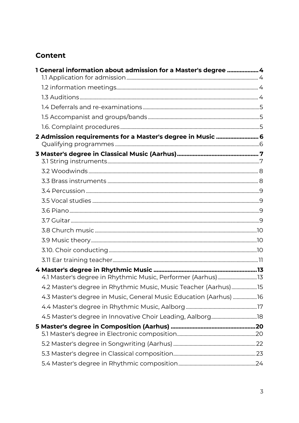# **Content**

| 1 General information about admission for a Master's degree  4    |  |
|-------------------------------------------------------------------|--|
|                                                                   |  |
|                                                                   |  |
|                                                                   |  |
|                                                                   |  |
|                                                                   |  |
|                                                                   |  |
| 2 Admission requirements for a Master's degree in Music  6        |  |
|                                                                   |  |
|                                                                   |  |
|                                                                   |  |
|                                                                   |  |
|                                                                   |  |
|                                                                   |  |
|                                                                   |  |
|                                                                   |  |
|                                                                   |  |
|                                                                   |  |
|                                                                   |  |
|                                                                   |  |
|                                                                   |  |
|                                                                   |  |
| 4.2 Master's degree in Rhythmic Music, Music Teacher (Aarhus)15   |  |
| 4.3 Master's degree in Music, General Music Education (Aarhus) 16 |  |
|                                                                   |  |
|                                                                   |  |
|                                                                   |  |
|                                                                   |  |
|                                                                   |  |
|                                                                   |  |
|                                                                   |  |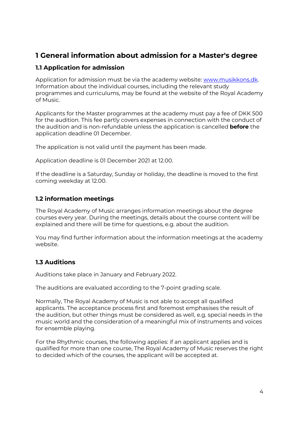# <span id="page-3-0"></span>**1 General information about admission for a Master's degree**

# <span id="page-3-1"></span>**1.1 Application for admission**

Application for admission must be via the academy website: [www.musikkons.dk.](http://www.musikkons.dk/) Information about the individual courses, including the relevant study programmes and curriculums, may be found at the website of the Royal Academy of Music.

Applicants for the Master programmes at the academy must pay a fee of DKK 500 for the audition. This fee partly covers expenses in connection with the conduct of the audition and is non-refundable unless the application is cancelled **before** the application deadline 01 December.

The application is not valid until the payment has been made.

Application deadline is 01 December 2021 at 12.00.

If the deadline is a Saturday, Sunday or holiday, the deadline is moved to the first coming weekday at 12.00.

# <span id="page-3-2"></span>**1.2 information meetings**

The Royal Academy of Music arranges information meetings about the degree courses every year. During the meetings, details about the course content will be explained and there will be time for questions, e.g. about the audition.

You may find further information about the information meetings at the academy website.

# <span id="page-3-3"></span>**1.3 Auditions**

Auditions take place in January and February 2022.

The auditions are evaluated according to the 7-point grading scale.

Normally, The Royal Academy of Music is not able to accept all qualified applicants. The acceptance process first and foremost emphasises the result of the audition, but other things must be considered as well, e.g. special needs in the music world and the consideration of a meaningful mix of instruments and voices for ensemble playing.

For the Rhythmic courses, the following applies: if an applicant applies and is qualified for more than one course, The Royal Academy of Music reserves the right to decided which of the courses, the applicant will be accepted at.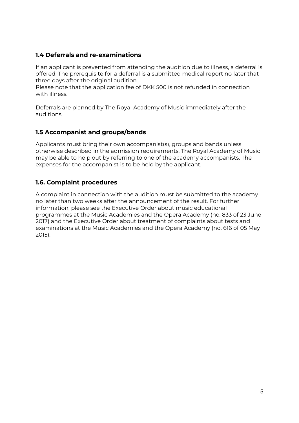# <span id="page-4-0"></span>**1.4 Deferrals and re-examinations**

If an applicant is prevented from attending the audition due to illness, a deferral is offered. The prerequisite for a deferral is a submitted medical report no later that three days after the original audition.

Please note that the application fee of DKK 500 is not refunded in connection with illness.

Deferrals are planned by The Royal Academy of Music immediately after the auditions.

# <span id="page-4-1"></span>**1.5 Accompanist and groups/bands**

Applicants must bring their own accompanist(s), groups and bands unless otherwise described in the admission requirements. The Royal Academy of Music may be able to help out by referring to one of the academy accompanists. The expenses for the accompanist is to be held by the applicant.

# <span id="page-4-2"></span>**1.6. Complaint procedures**

A complaint in connection with the audition must be submitted to the academy no later than two weeks after the announcement of the result. For further information, please see the Executive Order about music educational programmes at the Music Academies and the Opera Academy (no. 833 of 23 June 2017) and the Executive Order about treatment of complaints about tests and examinations at the Music Academies and the Opera Academy (no. 616 of 05 May 2015).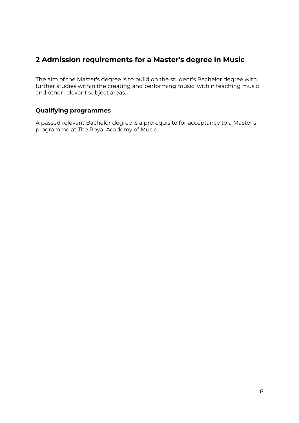# <span id="page-5-0"></span>**2 Admission requirements for a Master's degree in Music**

The aim of the Master's degree is to build on the student's Bachelor degree with further studies within the creating and performing music, within teaching music and other relevant subject areas.

# <span id="page-5-1"></span>**Qualifying programmes**

A passed relevant Bachelor degree is a prerequisite for acceptance to a Master's programme at The Royal Academy of Music.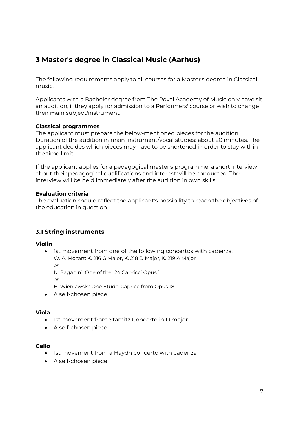# <span id="page-6-0"></span>**3 Master's degree in Classical Music (Aarhus)**

The following requirements apply to all courses for a Master's degree in Classical music.

Applicants with a Bachelor degree from The Royal Academy of Music only have sit an audition, if they apply for admission to a Performers' course or wish to change their main subject/instrument.

#### **Classical programmes**

The applicant must prepare the below-mentioned pieces for the audition. Duration of the audition in main instrument/vocal studies: about 20 minutes. The applicant decides which pieces may have to be shortened in order to stay within the time limit.

If the applicant applies for a pedagogical master's programme, a short interview about their pedagogical qualifications and interest will be conducted. The interview will be held immediately after the audition in own skills.

#### **Evaluation criteria**

The evaluation should reflect the applicant's possibility to reach the objectives of the education in question.

# <span id="page-6-1"></span>**3.1 String instruments**

#### **Violin**

• Ist movement from one of the following concertos with cadenza: W. A. Mozart: K. 216 G Major, K. 218 D Major, K. 219 A Major

*or*

N. Paganini: One of the 24 Capricci Opus 1

*or*

H. Wieniawski: One Etude-Caprice from Opus 18

A self-chosen piece

### **Viola**

- Ist movement from Stamitz Concerto in D major
- A self-chosen piece

### **Cello**

- Ist movement from a Haydn concerto with cadenza
- A self-chosen piece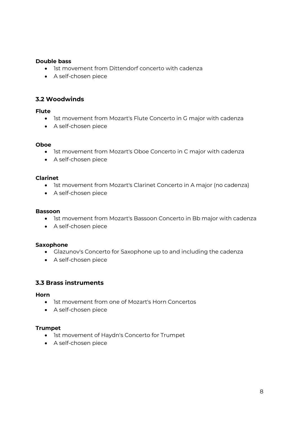#### **Double bass**

- Ist movement from Dittendorf concerto with cadenza
- A self-chosen piece

### <span id="page-7-0"></span>**3.2 Woodwinds**

#### **Flute**

- Ist movement from Mozart's Flute Concerto in G major with cadenza
- A self-chosen piece

#### **Oboe**

- Ist movement from Mozart's Oboe Concerto in C major with cadenza
- A self-chosen piece

#### **Clarinet**

- Ist movement from Mozart's Clarinet Concerto in A major (no cadenza)
- A self-chosen piece

#### **Bassoon**

- Ist movement from Mozart's Bassoon Concerto in Bb major with cadenza
- A self-chosen piece

#### **Saxophone**

- Glazunov's Concerto for Saxophone up to and including the cadenza
- A self-chosen piece

#### <span id="page-7-1"></span>**3.3 Brass instruments**

#### **Horn**

- Ist movement from one of Mozart's Horn Concertos
- A self-chosen piece

#### **Trumpet**

- Ist movement of Haydn's Concerto for Trumpet
- A self-chosen piece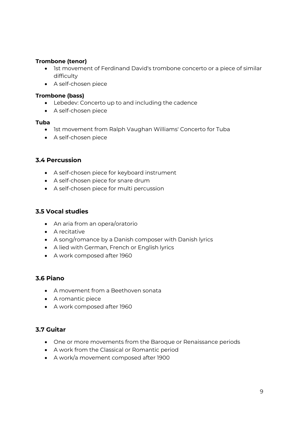#### **Trombone (tenor)**

- Ist movement of Ferdinand David's trombone concerto or a piece of similar difficulty
- A self-chosen piece

#### **Trombone (bass)**

- Lebedev: Concerto up to and including the cadence
- A self-chosen piece

#### **Tuba**

- Ist movement from Ralph Vaughan Williams' Concerto for Tuba
- A self-chosen piece

# <span id="page-8-0"></span>**3.4 Percussion**

- A self-chosen piece for keyboard instrument
- A self-chosen piece for snare drum
- A self-chosen piece for multi percussion

# <span id="page-8-1"></span>**3.5 Vocal studies**

- An aria from an opera/oratorio
- A recitative
- A song/romance by a Danish composer with Danish lyrics
- A lied with German, French or English lyrics
- A work composed after 1960

### <span id="page-8-2"></span>**3.6 Piano**

- A movement from a Beethoven sonata
- A romantic piece
- A work composed after 1960

# <span id="page-8-3"></span>**3.7 Guitar**

- One or more movements from the Baroque or Renaissance periods
- A work from the Classical or Romantic period
- A work/a movement composed after 1900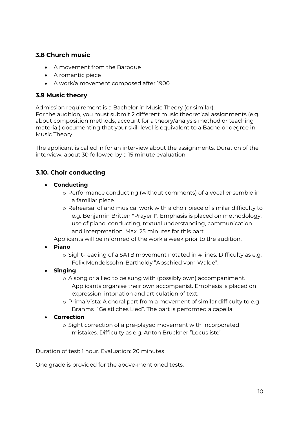# <span id="page-9-0"></span>**3.8 Church music**

- A movement from the Baroque
- A romantic piece
- A work/a movement composed after 1900

# <span id="page-9-1"></span>**3.9 Music theory**

Admission requirement is a Bachelor in Music Theory (or similar).

For the audition, you must submit 2 different music theoretical assignments (e.g. about composition methods, account for a theory/analysis method or teaching material) documenting that your skill level is equivalent to a Bachelor degree in Music Theory.

The applicant is called in for an interview about the assignments. Duration of the interview: about 30 followed by a 15 minute evaluation.

# <span id="page-9-2"></span>**3.10. Choir conducting**

- **Conducting**
	- o Performance conducting (without comments) of a vocal ensemble in a familiar piece.
	- o Rehearsal of and musical work with a choir piece of similar difficulty to e.g. Benjamin Britten "Prayer I". Emphasis is placed on methodology, use of piano, conducting, textual understanding, communication and interpretation. Max. 25 minutes for this part.

Applicants will be informed of the work a week prior to the audition.

- **Piano**
	- o Sight-reading of a SATB movement notated in 4 lines. Difficulty as e.g. Felix Mendelssohn-Bartholdy "Abschied vom Walde".
- **Singing**
	- o A song or a lied to be sung with (possibly own) accompaniment. Applicants organise their own accompanist. Emphasis is placed on expression, intonation and articulation of text.
	- o Prima Vista: A choral part from a movement of similar difficulty to e.g Brahms "Geistliches Lied". The part is performed a capella.
- **Correction**
	- o Sight correction of a pre-played movement with incorporated mistakes. Difficulty as e.g. Anton Bruckner "Locus iste".

Duration of test: 1 hour. Evaluation: 20 minutes

One grade is provided for the above-mentioned tests.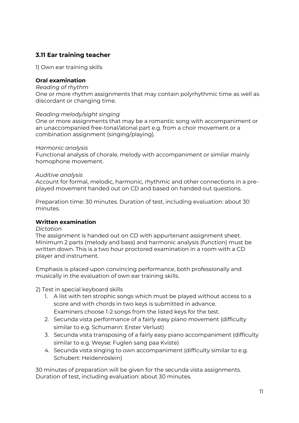# <span id="page-10-0"></span>**3.11 Ear training teacher**

1) Own ear training skills

#### **Oral examination**

#### *Reading of rhythm*

One or more rhythm assignments that may contain polyrhythmic time as well as discordant or changing time.

#### *Reading melody/sight singing*

One or more assignments that may be a romantic song with accompaniment or an unaccompanied free-tonal/atonal part e.g. from a choir movement or a combination assignment (singing/playing).

#### *Harmonic analysis*

Functional analysis of chorale, melody with accompaniment or similar mainly homophone movement.

#### *Auditive analysis*

Account for formal, melodic, harmonic, rhythmic and other connections in a preplayed movement handed out on CD and based on handed out questions.

Preparation time: 30 minutes. Duration of test, including evaluation: about 30 minutes.

#### **Written examination**

#### *Dictation*

The assignment is handed out on CD with appurtenant assignment sheet. Minimum 2 parts (melody and bass) and harmonic analysis (function) must be written down. This is a two hour proctored examination in a room with a CD player and instrument.

Emphasis is placed upon convincing performance, both professionally and musically in the evaluation of own ear training skills.

2) Test in special keyboard skills

- 1. A list with ten strophic songs which must be played without access to a score and with chords in two keys is submitted in advance. Examiners choose 1-2 songs from the listed keys for the test.
- 2. Secunda vista performance of a fairly easy piano movement (difficulty similar to e.g. Schumann: Erster Verlust)
- 3. Secunda vista transposing of a fairly easy piano accompaniment (difficulty similar to e.g. Weyse: Fuglen sang paa Kviste)
- 4. Secunda vista singing to own accompaniment (difficulty similar to e.g. Schubert: Heidenröslein)

30 minutes of preparation will be given for the secunda vista assignments. Duration of test, including evaluation: about 30 minutes.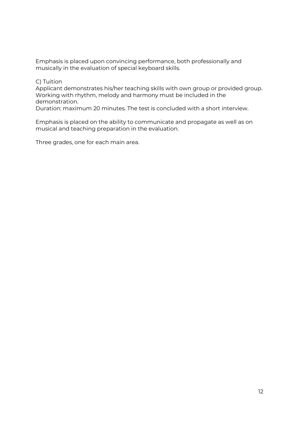Emphasis is placed upon convincing performance, both professionally and musically in the evaluation of special keyboard skills.

#### C) Tuition

Applicant demonstrates his/her teaching skills with own group or provided group. Working with rhythm, melody and harmony must be included in the demonstration.

Duration: maximum 20 minutes. The test is concluded with a short interview.

Emphasis is placed on the ability to communicate and propagate as well as on musical and teaching preparation in the evaluation.

Three grades, one for each main area.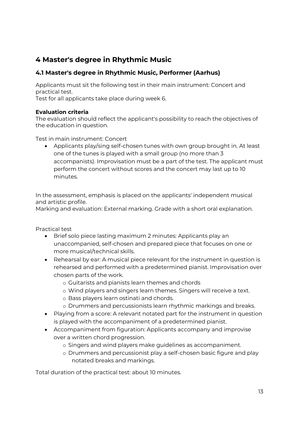# <span id="page-12-0"></span>**4 Master's degree in Rhythmic Music**

# <span id="page-12-1"></span>**4.1 Master's degree in Rhythmic Music, Performer (Aarhus)**

Applicants must sit the following test in their main instrument: Concert and practical test.

Test for all applicants take place during week 6.

#### **Evaluation criteria**

The evaluation should reflect the applicant's possibility to reach the objectives of the education in question.

Test in main instrument: Concert

• Applicants play/sing self-chosen tunes with own group brought in. At least one of the tunes is played with a small group (no more than 3 accompanists). Improvisation must be a part of the test. The applicant must perform the concert without scores and the concert may last up to 10 minutes.

In the assessment, emphasis is placed on the applicants' independent musical and artistic profile.

Marking and evaluation: External marking. Grade with a short oral explanation.

Practical test

- Brief solo piece lasting maximum 2 minutes: Applicants play an unaccompanied, self-chosen and prepared piece that focuses on one or more musical/technical skills.
- Rehearsal by ear: A musical piece relevant for the instrument in question is rehearsed and performed with a predetermined pianist. Improvisation over chosen parts of the work.
	- o Guitarists and pianists learn themes and chords
	- o Wind players and singers learn themes. Singers will receive a text.
	- o Bass players learn ostinati and chords.
	- o Drummers and percussionists learn rhythmic markings and breaks.
- Playing from a score: A relevant notated part for the instrument in question is played with the accompaniment of a predetermined pianist.
- Accompaniment from figuration: Applicants accompany and improvise over a written chord progression.
	- o Singers and wind players make guidelines as accompaniment.
	- o Drummers and percussionist play a self-chosen basic figure and play notated breaks and markings.

Total duration of the practical test: about 10 minutes.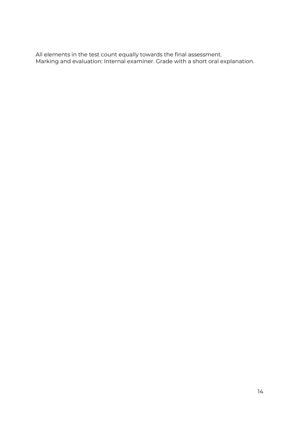All elements in the test count equally towards the final assessment. Marking and evaluation: Internal examiner. Grade with a short oral explanation.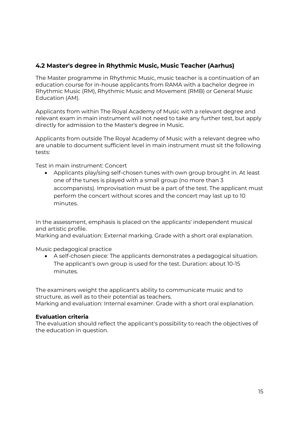# <span id="page-14-0"></span>**4.2 Master's degree in Rhythmic Music, Music Teacher (Aarhus)**

The Master programme in Rhythmic Music, music teacher is a continuation of an education course for in-house applicants from RAMA with a bachelor degree in Rhythmic Music (RM), Rhythmic Music and Movement (RMB) or General Music Education (AM).

Applicants from within The Royal Academy of Music with a relevant degree and relevant exam in main instrument will not need to take any further test, but apply directly for admission to the Master's degree in Music.

Applicants from outside The Royal Academy of Music with a relevant degree who are unable to document sufficient level in main instrument must sit the following tests:

Test in main instrument: Concert

• Applicants play/sing self-chosen tunes with own group brought in. At least one of the tunes is played with a small group (no more than 3 accompanists). Improvisation must be a part of the test. The applicant must perform the concert without scores and the concert may last up to 10 minutes.

In the assessment, emphasis is placed on the applicants' independent musical and artistic profile.

Marking and evaluation: External marking. Grade with a short oral explanation.

Music pedagogical practice

 A self-chosen piece: The applicants demonstrates a pedagogical situation. The applicant's own group is used for the test. Duration: about 10-15 minutes.

The examiners weight the applicant's ability to communicate music and to structure, as well as to their potential as teachers. Marking and evaluation: Internal examiner. Grade with a short oral explanation.

#### **Evaluation criteria**

The evaluation should reflect the applicant's possibility to reach the objectives of the education in question.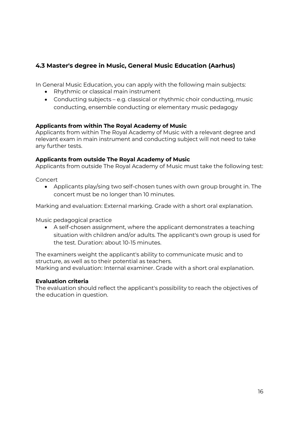# <span id="page-15-0"></span>**4.3 Master's degree in Music, General Music Education (Aarhus)**

In General Music Education, you can apply with the following main subjects:

- Rhythmic or classical main instrument
- Conducting subjects e.g. classical or rhythmic choir conducting, music conducting, ensemble conducting or elementary music pedagogy

#### **Applicants from within The Royal Academy of Music**

Applicants from within The Royal Academy of Music with a relevant degree and relevant exam in main instrument and conducting subject will not need to take any further tests.

#### **Applicants from outside The Royal Academy of Music**

Applicants from outside The Royal Academy of Music must take the following test:

Concert

• Applicants play/sing two self-chosen tunes with own group brought in. The concert must be no longer than 10 minutes.

Marking and evaluation: External marking. Grade with a short oral explanation.

Music pedagogical practice

 A self-chosen assignment, where the applicant demonstrates a teaching situation with children and/or adults. The applicant's own group is used for the test. Duration: about 10-15 minutes.

The examiners weight the applicant's ability to communicate music and to structure, as well as to their potential as teachers. Marking and evaluation: Internal examiner. Grade with a short oral explanation.

#### **Evaluation criteria**

The evaluation should reflect the applicant's possibility to reach the objectives of the education in question.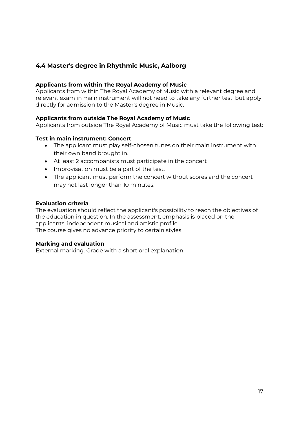# <span id="page-16-0"></span>**4.4 Master's degree in Rhythmic Music, Aalborg**

#### **Applicants from within The Royal Academy of Music**

Applicants from within The Royal Academy of Music with a relevant degree and relevant exam in main instrument will not need to take any further test, but apply directly for admission to the Master's degree in Music.

#### **Applicants from outside The Royal Academy of Music**

Applicants from outside The Royal Academy of Music must take the following test:

#### **Test in main instrument: Concert**

- The applicant must play self-chosen tunes on their main instrument with their own band brought in.
- At least 2 accompanists must participate in the concert
- Improvisation must be a part of the test.
- The applicant must perform the concert without scores and the concert may not last longer than 10 minutes.

#### **Evaluation criteria**

The evaluation should reflect the applicant's possibility to reach the objectives of the education in question. In the assessment, emphasis is placed on the applicants' independent musical and artistic profile. The course gives no advance priority to certain styles.

#### **Marking and evaluation**

External marking. Grade with a short oral explanation.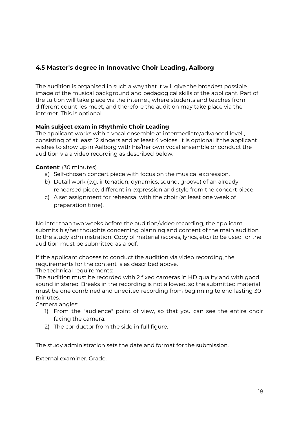# <span id="page-17-0"></span>**4.5 Master's degree in Innovative Choir Leading, Aalborg**

The audition is organised in such a way that it will give the broadest possible image of the musical background and pedagogical skills of the applicant. Part of the tuition will take place via the internet, where students and teaches from different countries meet, and therefore the audition may take place via the internet. This is optional.

### **Main subject exam in Rhythmic Choir Leading**

The applicant works with a vocal ensemble at intermediate/advanced level , consisting of at least 12 singers and at least 4 voices. It is optional if the applicant wishes to show up in Aalborg with his/her own vocal ensemble or conduct the audition via a video recording as described below.

#### **Content**: (30 minutes).

- a) Self-chosen concert piece with focus on the musical expression.
- b) Detail work (e.g. intonation, dynamics, sound, groove) of an already rehearsed piece, different in expression and style from the concert piece.
- c) A set assignment for rehearsal with the choir (at least one week of preparation time).

No later than two weeks before the audition/video recording, the applicant submits his/her thoughts concerning planning and content of the main audition to the study administration. Copy of material (scores, lyrics, etc.) to be used for the audition must be submitted as a pdf.

If the applicant chooses to conduct the audition via video recording, the requirements for the content is as described above.

The technical requirements:

The audition must be recorded with 2 fixed cameras in HD quality and with good sound in stereo. Breaks in the recording is not allowed, so the submitted material must be one combined and unedited recording from beginning to end lasting 30 minutes.

Camera angles:

- 1) From the "audience" point of view, so that you can see the entire choir facing the camera.
- 2) The conductor from the side in full figure.

The study administration sets the date and format for the submission.

External examiner. Grade.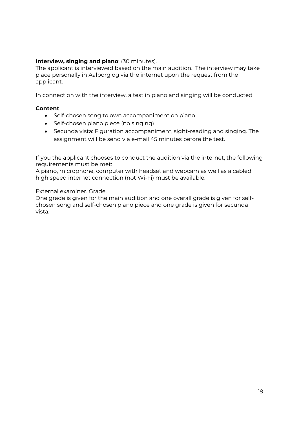### **Interview, singing and piano**: (30 minutes).

The applicant is interviewed based on the main audition. The interview may take place personally in Aalborg og via the internet upon the request from the applicant.

In connection with the interview, a test in piano and singing will be conducted.

#### **Content**

- Self-chosen song to own accompaniment on piano.
- Self-chosen piano piece (no singing).
- Secunda vista: Figuration accompaniment, sight-reading and singing. The assignment will be send via e-mail 45 minutes before the test.

If you the applicant chooses to conduct the audition via the internet, the following requirements must be met:

A piano, microphone, computer with headset and webcam as well as a cabled high speed internet connection (not Wi-Fi) must be available.

External examiner. Grade.

One grade is given for the main audition and one overall grade is given for selfchosen song and self-chosen piano piece and one grade is given for secunda vista.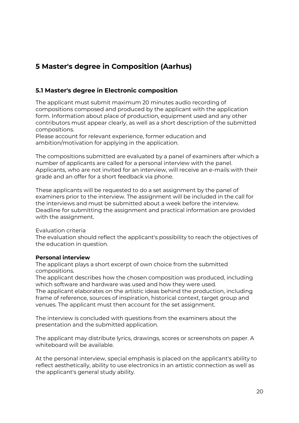# <span id="page-19-0"></span>**5 Master's degree in Composition (Aarhus)**

### <span id="page-19-1"></span>**5.1 Master's degree in Electronic composition**

The applicant must submit maximum 20 minutes audio recording of compositions composed and produced by the applicant with the application form. Information about place of production, equipment used and any other contributors must appear clearly, as well as a short description of the submitted compositions.

Please account for relevant experience, former education and ambition/motivation for applying in the application.

The compositions submitted are evaluated by a panel of examiners after which a number of applicants are called for a personal interview with the panel. Applicants, who are not invited for an interview, will receive an e-mails with their grade and an offer for a short feedback via phone.

These applicants will be requested to do a set assignment by the panel of examiners prior to the interview. The assignment will be included in the call for the interviews and must be submitted about a week before the interview. Deadline for submitting the assignment and practical information are provided with the assignment.

Evaluation criteria

The evaluation should reflect the applicant's possibility to reach the objectives of the education in question.

#### **Personal interview**

The applicant plays a short excerpt of own choice from the submitted compositions.

The applicant describes how the chosen composition was produced, including which software and hardware was used and how they were used.

The applicant elaborates on the artistic ideas behind the production, including frame of reference, sources of inspiration, historical context, target group and venues. The applicant must then account for the set assignment.

The interview is concluded with questions from the examiners about the presentation and the submitted application.

The applicant may distribute lyrics, drawings, scores or screenshots on paper. A whiteboard will be available.

At the personal interview, special emphasis is placed on the applicant's ability to reflect aesthetically, ability to use electronics in an artistic connection as well as the applicant's general study ability.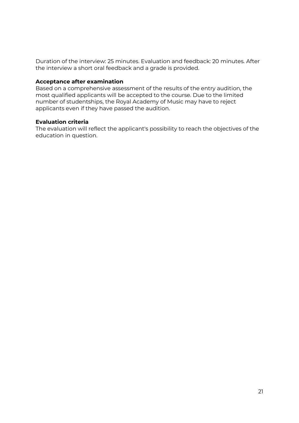Duration of the interview: 25 minutes. Evaluation and feedback: 20 minutes. After the interview a short oral feedback and a grade is provided.

#### **Acceptance after examination**

Based on a comprehensive assessment of the results of the entry audition, the most qualified applicants will be accepted to the course. Due to the limited number of studentships, the Royal Academy of Music may have to reject applicants even if they have passed the audition.

#### **Evaluation criteria**

The evaluation will reflect the applicant's possibility to reach the objectives of the education in question.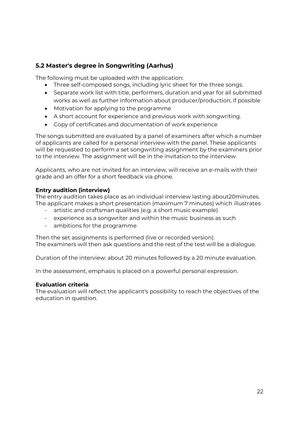# <span id="page-21-0"></span>**5.2 Master's degree in Songwriting (Aarhus)**

The following must be uploaded with the application:

- Three self-composed songs, including lyric sheet for the three songs.
- Separate work list with title, performers, duration and year for all submitted works as well as further information about producer/production, if possible
- Motivation for applying to the programme
- A short account for experience and previous work with songwriting.
- Copy of certificates and documentation of work experience

The songs submitted are evaluated by a panel of examiners after which a number of applicants are called for a personal interview with the panel. These applicants will be requested to perform a set songwriting assignment by the examiners prior to the interview. The assignment will be in the invitation to the interview.

Applicants, who are not invited for an interview, will receive an e-mails with their grade and an offer for a short feedback via phone.

#### **Entry audition (interview)**

The entry audition takes place as an individual interview lasting about20minutes. The applicant makes a short presentation (maximum 7 minutes) which illustrates

- artistic and craftsman qualities (e.g. a short music example)
- experience as a songwriter and within the music business as such
- ambitions for the programme

Then the set assignments is performed (live or recorded version). The examiners will then ask questions and the rest of the test will be a dialogue.

Duration of the interview: about 20 minutes followed by a 20 minute evaluation.

In the assessment, emphasis is placed on a powerful personal expression.

#### **Evaluation criteria**

The evaluation will reflect the applicant's possibility to reach the objectives of the education in question.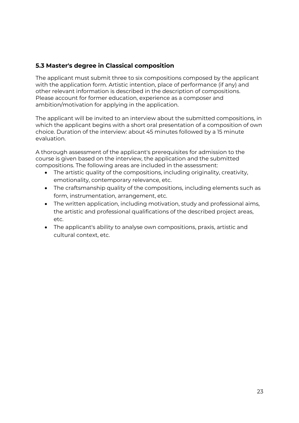# <span id="page-22-0"></span>**5.3 Master's degree in Classical composition**

The applicant must submit three to six compositions composed by the applicant with the application form. Artistic intention, place of performance (if any) and other relevant information is described in the description of compositions. Please account for former education, experience as a composer and ambition/motivation for applying in the application.

The applicant will be invited to an interview about the submitted compositions, in which the applicant begins with a short oral presentation of a composition of own choice. Duration of the interview: about 45 minutes followed by a 15 minute evaluation.

A thorough assessment of the applicant's prerequisites for admission to the course is given based on the interview, the application and the submitted compositions. The following areas are included in the assessment:

- The artistic quality of the compositions, including originality, creativity, emotionality, contemporary relevance, etc.
- The craftsmanship quality of the compositions, including elements such as form, instrumentation, arrangement, etc.
- The written application, including motivation, study and professional aims, the artistic and professional qualifications of the described project areas, etc.
- The applicant's ability to analyse own compositions, praxis, artistic and cultural context, etc.